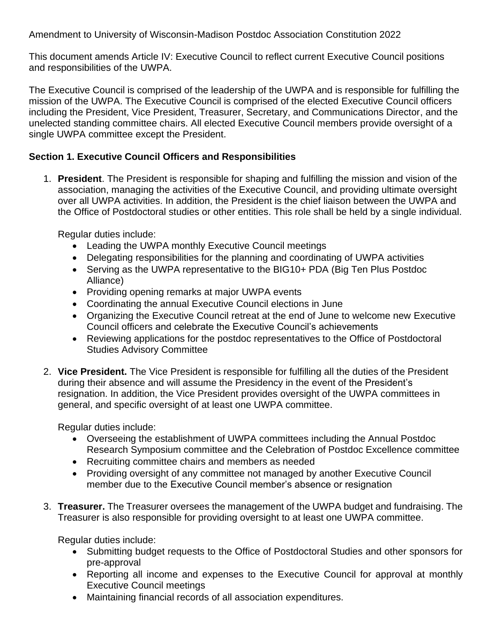Amendment to University of Wisconsin-Madison Postdoc Association Constitution 2022

This document amends Article IV: Executive Council to reflect current Executive Council positions and responsibilities of the UWPA.

The Executive Council is comprised of the leadership of the UWPA and is responsible for fulfilling the mission of the UWPA. The Executive Council is comprised of the elected Executive Council officers including the President, Vice President, Treasurer, Secretary, and Communications Director, and the unelected standing committee chairs. All elected Executive Council members provide oversight of a single UWPA committee except the President.

## **Section 1. Executive Council Officers and Responsibilities**

1. **President**. The President is responsible for shaping and fulfilling the mission and vision of the association, managing the activities of the Executive Council, and providing ultimate oversight over all UWPA activities. In addition, the President is the chief liaison between the UWPA and the Office of Postdoctoral studies or other entities. This role shall be held by a single individual.

Regular duties include:

- Leading the UWPA monthly Executive Council meetings
- Delegating responsibilities for the planning and coordinating of UWPA activities
- Serving as the UWPA representative to the BIG10+ PDA (Big Ten Plus Postdoc Alliance)
- Providing opening remarks at major UWPA events
- Coordinating the annual Executive Council elections in June
- Organizing the Executive Council retreat at the end of June to welcome new Executive Council officers and celebrate the Executive Council's achievements
- Reviewing applications for the postdoc representatives to the Office of Postdoctoral Studies Advisory Committee
- 2. **Vice President.** The Vice President is responsible for fulfilling all the duties of the President during their absence and will assume the Presidency in the event of the President's resignation. In addition, the Vice President provides oversight of the UWPA committees in general, and specific oversight of at least one UWPA committee.

Regular duties include:

- Overseeing the establishment of UWPA committees including the Annual Postdoc Research Symposium committee and the Celebration of Postdoc Excellence committee
- Recruiting committee chairs and members as needed
- Providing oversight of any committee not managed by another Executive Council member due to the Executive Council member's absence or resignation
- 3. **Treasurer.** The Treasurer oversees the management of the UWPA budget and fundraising. The Treasurer is also responsible for providing oversight to at least one UWPA committee.

Regular duties include:

- Submitting budget requests to the Office of Postdoctoral Studies and other sponsors for pre-approval
- Reporting all income and expenses to the Executive Council for approval at monthly Executive Council meetings
- Maintaining financial records of all association expenditures.